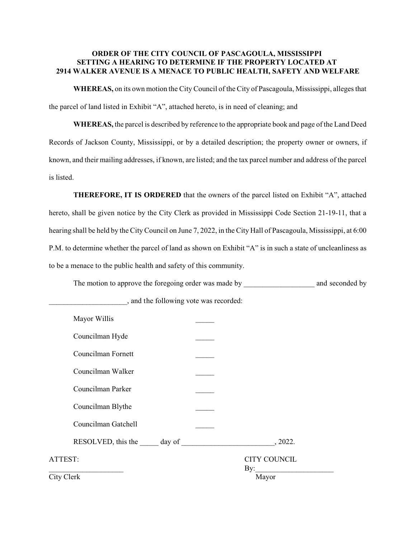# **ORDER OF THE CITY COUNCIL OF PASCAGOULA, MISSISSIPPI SETTING A HEARING TO DETERMINE IF THE PROPERTY LOCATED AT 2914 WALKER AVENUE IS A MENACE TO PUBLIC HEALTH, SAFETY AND WELFARE**

**WHEREAS,** on its own motion the City Council of the City of Pascagoula, Mississippi, alleges that the parcel of land listed in Exhibit "A", attached hereto, is in need of cleaning; and

**WHEREAS,** the parcel is described by reference to the appropriate book and page of the Land Deed Records of Jackson County, Mississippi, or by a detailed description; the property owner or owners, if known, and their mailing addresses, if known, are listed; and the tax parcel number and address of the parcel is listed.

**THEREFORE, IT IS ORDERED** that the owners of the parcel listed on Exhibit "A", attached hereto, shall be given notice by the City Clerk as provided in Mississippi Code Section 21-19-11, that a hearing shall be held by the City Council on June 7, 2022, in the City Hall of Pascagoula, Mississippi, at 6:00 P.M. to determine whether the parcel of land as shown on Exhibit "A" is in such a state of uncleanliness as to be a menace to the public health and safety of this community.

The motion to approve the foregoing order was made by \_\_\_\_\_\_\_\_\_\_\_\_\_\_\_\_\_\_\_\_\_\_\_\_\_\_ and seconded by

| Mayor Willis        |                            |
|---------------------|----------------------------|
| Councilman Hyde     |                            |
| Councilman Fornett  |                            |
| Councilman Walker   |                            |
| Councilman Parker   |                            |
| Councilman Blythe   |                            |
| Councilman Gatchell |                            |
|                     | , 2022.                    |
| ATTEST:             | <b>CITY COUNCIL</b><br>By: |
| City Clerk          | Mayor                      |

\_\_\_\_\_\_\_\_\_\_\_\_\_\_\_\_\_\_\_\_\_, and the following vote was recorded: